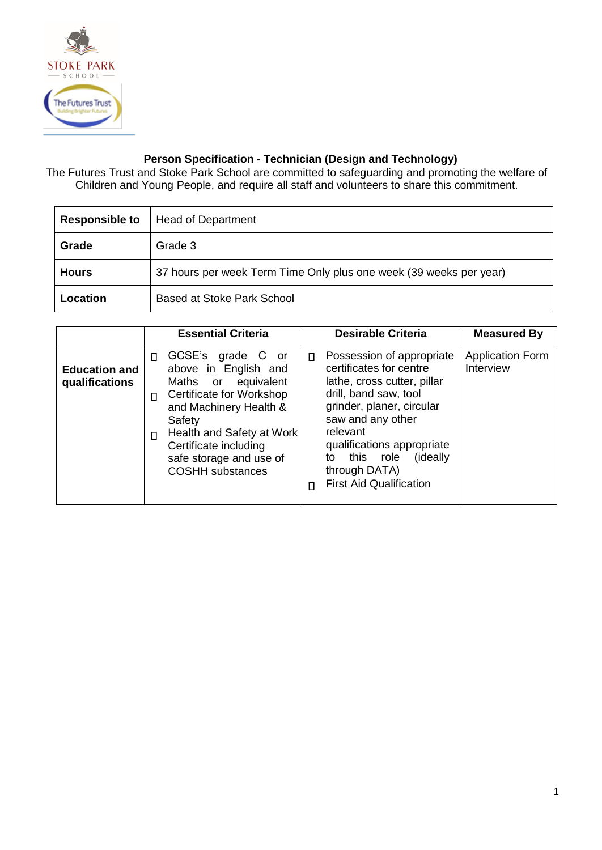

## **Person Specification - Technician (Design and Technology)**

The Futures Trust and Stoke Park School are committed to safeguarding and promoting the welfare of Children and Young People, and require all staff and volunteers to share this commitment.

| <b>Responsible to</b> | <b>Head of Department</b>                                          |
|-----------------------|--------------------------------------------------------------------|
| Grade                 | Grade 3                                                            |
| Hours                 | 37 hours per week Term Time Only plus one week (39 weeks per year) |
| Location              | Based at Stoke Park School                                         |

|                                        | <b>Essential Criteria</b>                                                                                                                                                                                                                                      | <b>Desirable Criteria</b>                                                                                                                                                                                                                                                                             | <b>Measured By</b>                   |
|----------------------------------------|----------------------------------------------------------------------------------------------------------------------------------------------------------------------------------------------------------------------------------------------------------------|-------------------------------------------------------------------------------------------------------------------------------------------------------------------------------------------------------------------------------------------------------------------------------------------------------|--------------------------------------|
| <b>Education and</b><br>qualifications | GCSE's grade C<br>or<br>п<br>above in English and<br>Maths or equivalent<br>Certificate for Workshop<br>П<br>and Machinery Health &<br>Safety<br>Health and Safety at Work<br>п<br>Certificate including<br>safe storage and use of<br><b>COSHH</b> substances | Possession of appropriate<br>П<br>certificates for centre<br>lathe, cross cutter, pillar<br>drill, band saw, tool<br>grinder, planer, circular<br>saw and any other<br>relevant<br>qualifications appropriate<br>this role<br>(ideally)<br>to<br>through DATA)<br><b>First Aid Qualification</b><br>п | <b>Application Form</b><br>Interview |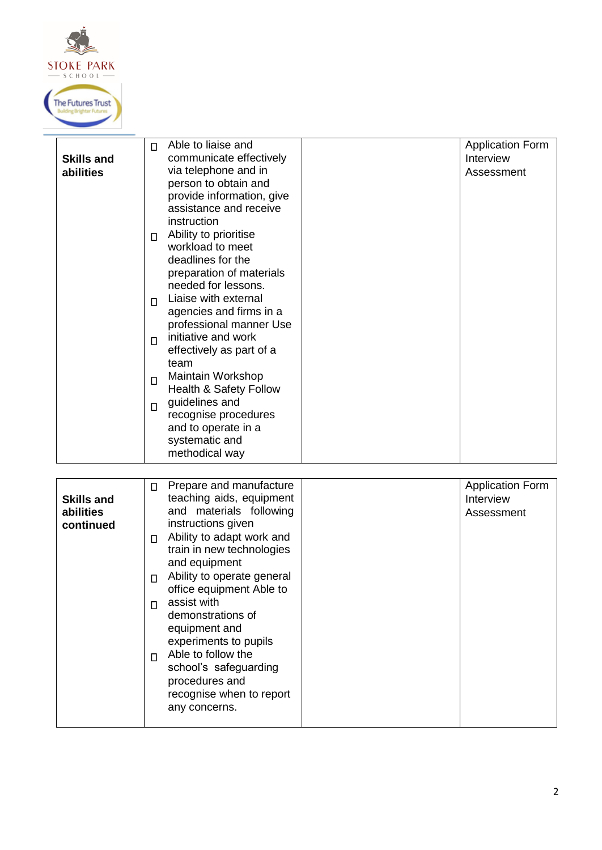

|                   | Able to liaise and<br>П           | <b>Application Form</b> |
|-------------------|-----------------------------------|-------------------------|
| <b>Skills and</b> | communicate effectively           | Interview               |
| abilities         | via telephone and in              | Assessment              |
|                   | person to obtain and              |                         |
|                   | provide information, give         |                         |
|                   | assistance and receive            |                         |
|                   | instruction                       |                         |
|                   | Ability to prioritise<br>П        |                         |
|                   | workload to meet                  |                         |
|                   | deadlines for the                 |                         |
|                   | preparation of materials          |                         |
|                   | needed for lessons.               |                         |
|                   | Liaise with external<br>$\Box$    |                         |
|                   | agencies and firms in a           |                         |
|                   | professional manner Use           |                         |
|                   | initiative and work<br>$\Box$     |                         |
|                   | effectively as part of a          |                         |
|                   | team                              |                         |
|                   | Maintain Workshop<br>$\Box$       |                         |
|                   | <b>Health &amp; Safety Follow</b> |                         |
|                   | guidelines and<br>$\Box$          |                         |
|                   | recognise procedures              |                         |
|                   | and to operate in a               |                         |
|                   | systematic and                    |                         |
|                   | methodical way                    |                         |
|                   |                                   |                         |

| <b>Skills and</b><br>abilities<br>continued | Prepare and manufacture<br>П<br>teaching aids, equipment<br>and materials following<br>instructions given<br>Ability to adapt work and<br>П<br>train in new technologies<br>and equipment<br>Ability to operate general<br>П<br>office equipment Able to<br>assist with<br>П<br>demonstrations of<br>equipment and<br>experiments to pupils<br>Able to follow the<br>П<br>school's safeguarding<br>procedures and<br>recognise when to report<br>any concerns. |  | <b>Application Form</b><br>Interview<br>Assessment |
|---------------------------------------------|----------------------------------------------------------------------------------------------------------------------------------------------------------------------------------------------------------------------------------------------------------------------------------------------------------------------------------------------------------------------------------------------------------------------------------------------------------------|--|----------------------------------------------------|
|---------------------------------------------|----------------------------------------------------------------------------------------------------------------------------------------------------------------------------------------------------------------------------------------------------------------------------------------------------------------------------------------------------------------------------------------------------------------------------------------------------------------|--|----------------------------------------------------|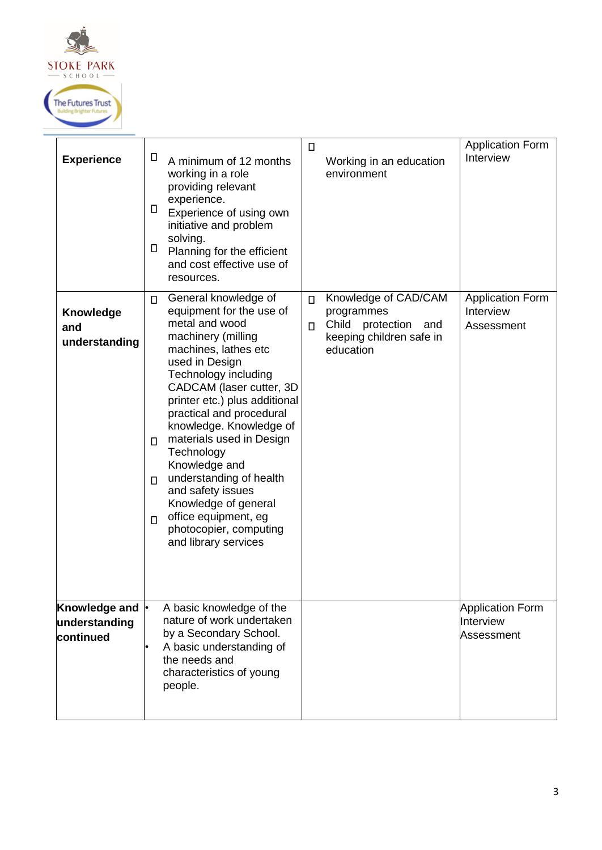

| <b>Experience</b>                           | Ц<br>A minimum of 12 months<br>working in a role<br>providing relevant<br>experience.<br>П<br>Experience of using own<br>initiative and problem<br>solving.<br>п<br>Planning for the efficient<br>and cost effective use of<br>resources.                                                                                                                                                                                                                                                                                      | П<br>Working in an education<br>environment                                                                                | <b>Application Form</b><br>Interview               |
|---------------------------------------------|--------------------------------------------------------------------------------------------------------------------------------------------------------------------------------------------------------------------------------------------------------------------------------------------------------------------------------------------------------------------------------------------------------------------------------------------------------------------------------------------------------------------------------|----------------------------------------------------------------------------------------------------------------------------|----------------------------------------------------|
| <b>Knowledge</b><br>and<br>understanding    | General knowledge of<br>$\Box$<br>equipment for the use of<br>metal and wood<br>machinery (milling<br>machines, lathes etc<br>used in Design<br>Technology including<br>CADCAM (laser cutter, 3D<br>printer etc.) plus additional<br>practical and procedural<br>knowledge. Knowledge of<br>materials used in Design<br>$\Box$<br>Technology<br>Knowledge and<br>understanding of health<br>П<br>and safety issues<br>Knowledge of general<br>office equipment, eg<br>$\Box$<br>photocopier, computing<br>and library services | Knowledge of CAD/CAM<br>$\Box$<br>programmes<br>Child protection<br>and<br>$\Box$<br>keeping children safe in<br>education | <b>Application Form</b><br>Interview<br>Assessment |
| Knowledge and<br>understanding<br>continued | A basic knowledge of the<br>nature of work undertaken<br>by a Secondary School.<br>A basic understanding of<br>the needs and<br>characteristics of young<br>people.                                                                                                                                                                                                                                                                                                                                                            |                                                                                                                            | <b>Application Form</b><br>Interview<br>Assessment |